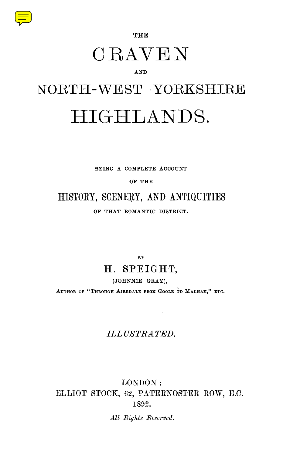

**THE**

## CRAVEN

#### AND

# NORTH-WEST . YORKSHIRE HIGHLANDS.

**BEING A COMPLETE ACCOUNT**

**OF THE**

### HISTORY, SCENERY, AND ANTIQUITIES

**OF THAT ROMANTIC DISTRICT.**

**BY**

### **H . SPEIGHT,**

**(JOHNNIE GRAY),**

**AUTHOR OF " THROUGH AIREDALE FROM GOOLE TO MALHAM," ETC.**

#### *ILLUSTRATED.*

#### LONDON : ELLIOT STOCK, 62, PATERNOSTER ROW, E.C. 1892.

*All Rights Reserved .*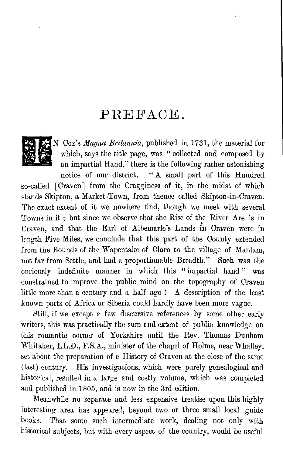### PREFACE.



IN *Cox's Magna Britannia, published in 1731, the material for* which, says the title page, was " collected and composed by an impartial Hand," there is the following rather astonishing notice of our district. " A small part of this Hundred so-called [Craven] from the Cragginess of it, in the midst of which stands Skipton, a Market-Town, from thence called Skipton-in-Craven. The exact extent of it we nowhere find, though we meet with several Towns in it ; but since we observe that the Rise of the River Are is in Craven, and that the Earl of Albemarle's Lands in Craven were in length Five Miles, we conclude that this part of the County extended from the Bounds of the Wapentake of Claro to the village of Manlam, not far from Settle, and had a proportionable Breadth ." Such was the

curiously indefinite manner in which this " impartial hand " was constrained to improve the public mind on the topography of Craven little more than a century and a half ago ! A description of the least known parts of Africa or Siberia could hardly have been more vague.

Still, if we except a few discursive references by some other early writers, this was practically the sum and extent of public knowledge on this romantic corner of Yorkshire until the Rev. Thomas Dunham Whitaker, LL.D., F.S.A., minister of the chapel of Holme, near Whalley, set about the preparation of a History of Craven at the close of the same (last) century. His investigations, which were purely genealogical and historical, resulted in a large and costly volume, which was completed and published in 1805, and is now in the 3rd edition.

Meanwhile no separate and less expensive treatise upon this highly interesting area has appeared, beyond two or three small local guide books. That some such intermediate work, dealing not only with historical subjects, but with every aspect of the country, would be useful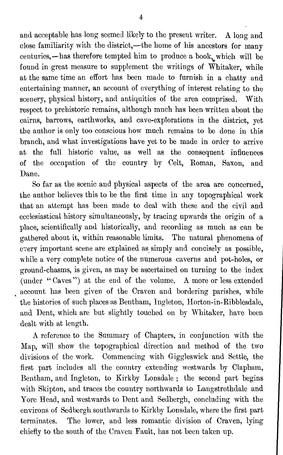and acceptable has long seemed likely to the present writer. A long and close familiarity with the district,—the home of his ancestors for many centuries,—has therefore tempted him to produce a book, which will be found in great measure to supplement the writings of Whitaker, while at the same time an effort has been made to furnish in a chatty and entertaining manner, an account of everything of interest relating to the scenery, physical history, and antiquities of the area comprised. With respect to prehistoric remains, although much has been written about the cairns, barrows, earthworks, and cave-explorations in the district, yet the author is only too conscious how much remains to be done in this branch, and what investigations have yet to be made in order to arrive at the full historic value, as well as the consequent influences of the occupation of the country by Celt, Roman, Saxon, and Dane.

So far as the scenic and physical aspects of the area are concerned, the author believes this to be the first time in any topographical work that an attempt has been made to deal with these and the civil and ecclesiastical history simultaneously, by tracing upwards the origin of a place, scientifically and historically, and recording as much as can be gathered about it, within reasonable limits. The natural phenomena of every important scene are explained as simply and concisely as possible, while a very complete notice of the numerous caverns and pot-holes, or ground-chasms, is given, as may be ascertained on turning to the index (under " Caves ") at the end of the volume. A more or less extended account has been given of the Craven and bordering parishes, while the histories of such places as Bentham, Ingleton, Horton-in-Ribblesdale, and Dent, which are but slightly touched on by Whitaker, have been dealt with at length.

A reference to the Summary of Chapters, in conjunction with the Map, will show the topographical direction and method of the two divisions of the work. Commencing with Giggleswick and Settle, the first part includes all the country extending westwards by Clapham, Bentham, and Ingleton, to Kirkby Lonsdale ; the second part begins with Skipton, and traces the country northwards to Langstrothdale and Yore Head, and westwards to Dent and Sedbergh, concluding with the environs of Sedbergh southwards to Kirkby Lonsdale, where the first part terminates. The lower, and less romantic division of Craven, lying chiefly to the south of the Craven Fault, has not been taken up.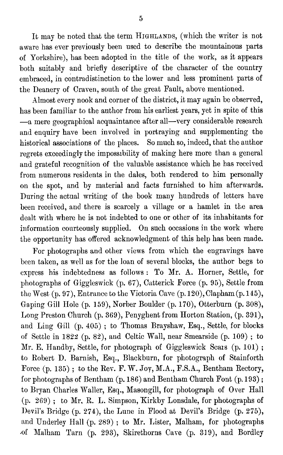It may be noted that the term HIGHLANDS, (which the writer is not aware has ever previously been used to describe the mountainous parts of Yorkshire), has been adopted in the title of the work, as it appears both suitably and briefly descriptive of the character of the country embraced, in contradistinction to the lower and less prominent parts of the Deanery of Craven, south of the great Fault, above mentioned.

Almost every nook and corner of the district, it may again be observed, has been familiar to the author from his earliest years, yet in spite of this —a mere geographical acquaintance after all—very considerable research and enquiry have been involved in portraying and supplementing the historical associations of the places. So much so, indeed, that the author regrets exceedingly the impossibility of making here more than a general and grateful recognition of the valuable assistance which he has received from numerous residents in the dales, both rendered to him personally on the spot, and by material and facts furnished to him afterwards. During the actual writing of the book many hundreds of letters have been received, and there is scarcely a village or a hamlet in the area dealt with where he is not indebted to one or other of its inhabitants for information courteously supplied. On such occasions in the work where the opportunity has offered acknowledgment of this help has been made.

For photographs and other views from which the engravings have been taken, as well as for the loan of several blocks, the author begs to express his indebtedness as follows : To Mr. A. Horner, Settle, for photographs of Giggleswick (p. 67), Catterick Force (p. 95), Settle from the West  $(p. 97)$ , Entrance to the Victoria Cave  $(p. 120)$ , Clapham  $(p. 145)$ , Gaping Gill Hole (p. 159), Norber Boulder (p. 170), Otterburn (p. 308), Long Preston Church (p. 369), Penyghent from Horton Station, (p. 391), and Ling Gill (p. 405) ; to Thomas Brayshaw, Esq., Settle, for blocks of Settle in  $1822$  (p. 82), and Celtic Wall, near Smearside (p. 109); to Mr. E. Handby, Settle, for photograph of Giggleswick Scars (p. 101); to Robert D. Barnish, Esq., Blackburn, for photograph of Stainforth Force (p. 135); to the Rev. F. W. Joy, M.A., F.S.A., Bentham Rectory, for photographs of Bentham (p. 186) and Bentham Church Font (p.193) ; to Bryan Charles Waller, Esq., Masongill, for photograph of Over Hall (p. 269) ; to Mr. R. L. Simpson, Kirkby Lonsdale, for photographs of Devil's Bridge (p. 274), the Lune in Flood at Devil's Bridge (p. 275), and Underley Hall (p. 289) ; to Mr. Lister, Malham, for photographs .of Malham Tarn (p. 293), Skirethorns Cave (p. 319), and Bordley